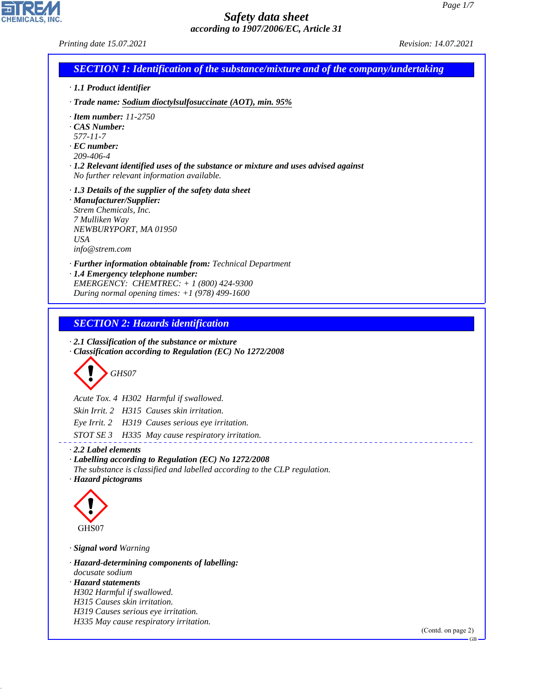*Printing date 15.07.2021 Revision: 14.07.2021*

CHEMICALS, INC.

44.1.1

| <b>SECTION 1: Identification of the substance/mixture and of the company/undertaking</b>                                                                        |                    |
|-----------------------------------------------------------------------------------------------------------------------------------------------------------------|--------------------|
| · 1.1 Product identifier                                                                                                                                        |                    |
| $\cdot$ Trade name: Sodium dioctylsulfosuccinate (AOT), min. 95%                                                                                                |                    |
| $\cdot$ Item number: 11-2750                                                                                                                                    |                    |
| CAS Number:<br>577-11-7                                                                                                                                         |                    |
| $\cdot$ EC number:                                                                                                                                              |                    |
| 209-406-4                                                                                                                                                       |                    |
| $\cdot$ 1.2 Relevant identified uses of the substance or mixture and uses advised against<br>No further relevant information available.                         |                    |
| $\cdot$ 1.3 Details of the supplier of the safety data sheet                                                                                                    |                    |
| · Manufacturer/Supplier:                                                                                                                                        |                    |
| Strem Chemicals, Inc.<br>7 Mulliken Way                                                                                                                         |                    |
| NEWBURYPORT, MA 01950                                                                                                                                           |                    |
| <b>USA</b>                                                                                                                                                      |                    |
| info@strem.com                                                                                                                                                  |                    |
| · Further information obtainable from: Technical Department<br>· 1.4 Emergency telephone number:                                                                |                    |
| EMERGENCY: CHEMTREC: $+ 1 (800) 424 - 9300$                                                                                                                     |                    |
| During normal opening times: $+1$ (978) 499-1600                                                                                                                |                    |
|                                                                                                                                                                 |                    |
| <b>SECTION 2: Hazards identification</b>                                                                                                                        |                    |
| GHS07                                                                                                                                                           |                    |
| Acute Tox. 4 H302 Harmful if swallowed.                                                                                                                         |                    |
| Skin Irrit. 2 H315 Causes skin irritation.                                                                                                                      |                    |
| Eye Irrit. 2 H319 Causes serious eye irritation.                                                                                                                |                    |
| STOT SE 3 H335 May cause respiratory irritation.                                                                                                                |                    |
| 2.2 Label elements                                                                                                                                              |                    |
| $\cdot$ Labelling according to Regulation (EC) No 1272/2008<br>The substance is classified and labelled according to the CLP regulation.<br>· Hazard pictograms |                    |
|                                                                                                                                                                 |                    |
|                                                                                                                                                                 |                    |
|                                                                                                                                                                 |                    |
| GHS07                                                                                                                                                           |                    |
| · Signal word Warning                                                                                                                                           |                    |
| · Hazard-determining components of labelling:                                                                                                                   |                    |
| docusate sodium<br>· Hazard statements                                                                                                                          |                    |
| H302 Harmful if swallowed.                                                                                                                                      |                    |
| H315 Causes skin irritation.                                                                                                                                    |                    |
| H319 Causes serious eye irritation.<br>H335 May cause respiratory irritation.                                                                                   |                    |
|                                                                                                                                                                 | (Contd. on page 2) |
|                                                                                                                                                                 |                    |
|                                                                                                                                                                 |                    |
|                                                                                                                                                                 |                    |
|                                                                                                                                                                 |                    |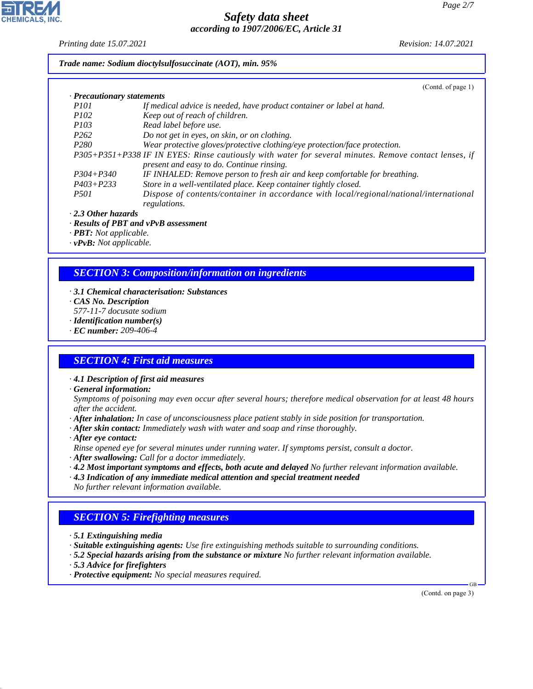*Printing date 15.07.2021 Revision: 14.07.2021*

*Trade name: Sodium dioctylsulfosuccinate (AOT), min. 95%*

|                            | (Contd. of page 1)                                                                                     |
|----------------------------|--------------------------------------------------------------------------------------------------------|
| · Precautionary statements |                                                                                                        |
| <i>P<sub>101</sub></i>     | If medical advice is needed, have product container or label at hand.                                  |
| <i>P102</i>                | Keep out of reach of children.                                                                         |
| <i>P103</i>                | Read label before use.                                                                                 |
| P <sub>262</sub>           | Do not get in eyes, on skin, or on clothing.                                                           |
| P <sub>280</sub>           | Wear protective gloves/protective clothing/eye protection/face protection.                             |
|                            | P305+P351+P338 IF IN EYES: Rinse cautiously with water for several minutes. Remove contact lenses, if  |
|                            | present and easy to do. Continue rinsing.                                                              |
| $P304 + P340$              | IF INHALED: Remove person to fresh air and keep comfortable for breathing.                             |
| $P403 + P233$              | Store in a well-ventilated place. Keep container tightly closed.                                       |
| <i>P501</i>                | Dispose of contents/container in accordance with local/regional/national/international<br>regulations. |
|                            |                                                                                                        |

*· 2.3 Other hazards*

*· Results of PBT and vPvB assessment*

*· PBT: Not applicable.*

*· vPvB: Not applicable.*

## *SECTION 3: Composition/information on ingredients*

*· 3.1 Chemical characterisation: Substances*

*· CAS No. Description*

*577-11-7 docusate sodium*

*· Identification number(s)*

*· EC number: 209-406-4*

## *SECTION 4: First aid measures*

*· 4.1 Description of first aid measures*

*· General information:*

*Symptoms of poisoning may even occur after several hours; therefore medical observation for at least 48 hours after the accident.*

- *· After inhalation: In case of unconsciousness place patient stably in side position for transportation.*
- *· After skin contact: Immediately wash with water and soap and rinse thoroughly.*
- *· After eye contact:*

*Rinse opened eye for several minutes under running water. If symptoms persist, consult a doctor.*

- *· After swallowing: Call for a doctor immediately.*
- *· 4.2 Most important symptoms and effects, both acute and delayed No further relevant information available.*
- *· 4.3 Indication of any immediate medical attention and special treatment needed No further relevant information available.*

# *SECTION 5: Firefighting measures*

- *· 5.1 Extinguishing media*
- *· Suitable extinguishing agents: Use fire extinguishing methods suitable to surrounding conditions.*
- *· 5.2 Special hazards arising from the substance or mixture No further relevant information available.*
- *· 5.3 Advice for firefighters*

44.1.1

*· Protective equipment: No special measures required.*

(Contd. on page 3)

GB

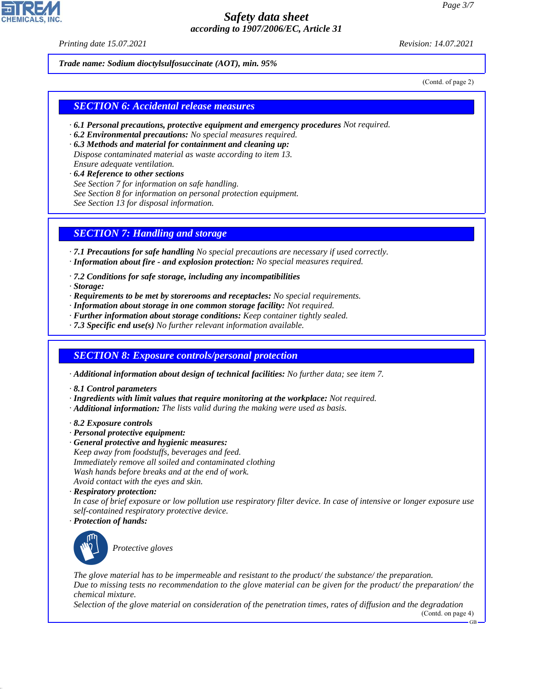*Printing date 15.07.2021 Revision: 14.07.2021*

*Trade name: Sodium dioctylsulfosuccinate (AOT), min. 95%*

(Contd. of page 2)

#### *SECTION 6: Accidental release measures*

- *· 6.1 Personal precautions, protective equipment and emergency procedures Not required.*
- *· 6.2 Environmental precautions: No special measures required.*
- *· 6.3 Methods and material for containment and cleaning up: Dispose contaminated material as waste according to item 13. Ensure adequate ventilation.*
- *· 6.4 Reference to other sections See Section 7 for information on safe handling. See Section 8 for information on personal protection equipment. See Section 13 for disposal information.*

#### *SECTION 7: Handling and storage*

*· 7.1 Precautions for safe handling No special precautions are necessary if used correctly.*

- *· Information about fire and explosion protection: No special measures required.*
- *· 7.2 Conditions for safe storage, including any incompatibilities*
- *· Storage:*
- *· Requirements to be met by storerooms and receptacles: No special requirements.*
- *· Information about storage in one common storage facility: Not required.*
- *· Further information about storage conditions: Keep container tightly sealed.*
- *· 7.3 Specific end use(s) No further relevant information available.*

#### *SECTION 8: Exposure controls/personal protection*

*· Additional information about design of technical facilities: No further data; see item 7.*

- *· 8.1 Control parameters*
- *· Ingredients with limit values that require monitoring at the workplace: Not required.*
- *· Additional information: The lists valid during the making were used as basis.*
- *· 8.2 Exposure controls*
- *· Personal protective equipment:*
- *· General protective and hygienic measures:*
- *Keep away from foodstuffs, beverages and feed.*
- *Immediately remove all soiled and contaminated clothing*
- *Wash hands before breaks and at the end of work.*
- *Avoid contact with the eyes and skin.*
- *· Respiratory protection:*

*In case of brief exposure or low pollution use respiratory filter device. In case of intensive or longer exposure use self-contained respiratory protective device.*

*· Protection of hands:*



44.1.1

\_S*Protective gloves*

*The glove material has to be impermeable and resistant to the product/ the substance/ the preparation. Due to missing tests no recommendation to the glove material can be given for the product/ the preparation/ the chemical mixture.*

*Selection of the glove material on consideration of the penetration times, rates of diffusion and the degradation* (Contd. on page 4)

GB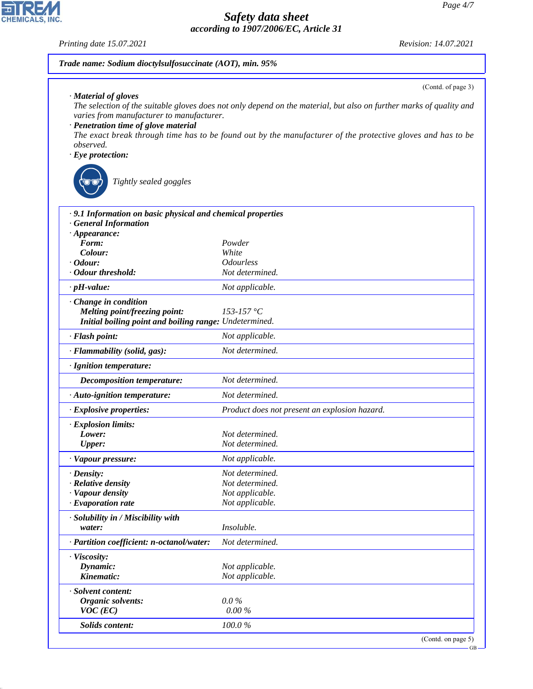GB

## *Safety data sheet according to 1907/2006/EC, Article 31*

*Printing date 15.07.2021 Revision: 14.07.2021*

CHEMICALS, INC.

44.1.1

| · Material of gloves<br>The selection of the suitable gloves does not only depend on the material, but also on further marks of quality and<br>varies from manufacturer to manufacturer.<br>· Penetration time of glove material<br>The exact break through time has to be found out by the manufacturer of the protective gloves and has to be<br>observed.<br>$\cdot$ Eye protection:<br>Tightly sealed goggles<br>.9.1 Information on basic physical and chemical properties<br>· General Information<br>$\cdot$ Appearance:<br>Form:<br>Powder<br>Colour:<br>White<br>$\cdot$ Odour:<br><i><b>Odourless</b></i><br>· Odour threshold:<br>Not determined.<br>$\cdot$ pH-value:<br>Not applicable.<br>· Change in condition<br>153-157 °C<br>Melting point/freezing point:<br>Initial boiling point and boiling range: Undetermined.<br>· Flash point:<br>Not applicable.<br>Not determined.<br>· Flammability (solid, gas):<br>· Ignition temperature:<br>Not determined.<br><b>Decomposition temperature:</b><br>Not determined.<br>· Auto-ignition temperature:<br>Product does not present an explosion hazard.<br>· Explosive properties:<br>Lower:<br>Not determined.<br>Upper:<br>Not determined.<br>Not applicable.<br>· Vapour pressure:<br>Not determined.<br>$\cdot$ Density:<br>· Relative density<br>Not determined.<br>· Vapour density<br>Not applicable.<br>$\cdot$ Evaporation rate<br>Not applicable.<br>· Solubility in / Miscibility with<br><i>Insoluble.</i><br>water:<br>Not determined.<br>· Partition coefficient: n-octanol/water:<br>· Viscosity:<br>Dynamic:<br>Not applicable.<br>Kinematic:<br>Not applicable.<br>· Solvent content:<br>$0.0\%$<br><b>Organic solvents:</b><br>$0.00\%$<br>$VOC$ (EC)<br><b>Solids content:</b><br>100.0% | Trade name: Sodium dioctylsulfosuccinate (AOT), min. 95% |                    |  |  |  |
|---------------------------------------------------------------------------------------------------------------------------------------------------------------------------------------------------------------------------------------------------------------------------------------------------------------------------------------------------------------------------------------------------------------------------------------------------------------------------------------------------------------------------------------------------------------------------------------------------------------------------------------------------------------------------------------------------------------------------------------------------------------------------------------------------------------------------------------------------------------------------------------------------------------------------------------------------------------------------------------------------------------------------------------------------------------------------------------------------------------------------------------------------------------------------------------------------------------------------------------------------------------------------------------------------------------------------------------------------------------------------------------------------------------------------------------------------------------------------------------------------------------------------------------------------------------------------------------------------------------------------------------------------------------------------------------------------------------------------------------------------------------------------|----------------------------------------------------------|--------------------|--|--|--|
|                                                                                                                                                                                                                                                                                                                                                                                                                                                                                                                                                                                                                                                                                                                                                                                                                                                                                                                                                                                                                                                                                                                                                                                                                                                                                                                                                                                                                                                                                                                                                                                                                                                                                                                                                                           |                                                          | (Contd. of page 3) |  |  |  |
|                                                                                                                                                                                                                                                                                                                                                                                                                                                                                                                                                                                                                                                                                                                                                                                                                                                                                                                                                                                                                                                                                                                                                                                                                                                                                                                                                                                                                                                                                                                                                                                                                                                                                                                                                                           |                                                          |                    |  |  |  |
|                                                                                                                                                                                                                                                                                                                                                                                                                                                                                                                                                                                                                                                                                                                                                                                                                                                                                                                                                                                                                                                                                                                                                                                                                                                                                                                                                                                                                                                                                                                                                                                                                                                                                                                                                                           |                                                          |                    |  |  |  |
|                                                                                                                                                                                                                                                                                                                                                                                                                                                                                                                                                                                                                                                                                                                                                                                                                                                                                                                                                                                                                                                                                                                                                                                                                                                                                                                                                                                                                                                                                                                                                                                                                                                                                                                                                                           |                                                          |                    |  |  |  |
|                                                                                                                                                                                                                                                                                                                                                                                                                                                                                                                                                                                                                                                                                                                                                                                                                                                                                                                                                                                                                                                                                                                                                                                                                                                                                                                                                                                                                                                                                                                                                                                                                                                                                                                                                                           |                                                          |                    |  |  |  |
|                                                                                                                                                                                                                                                                                                                                                                                                                                                                                                                                                                                                                                                                                                                                                                                                                                                                                                                                                                                                                                                                                                                                                                                                                                                                                                                                                                                                                                                                                                                                                                                                                                                                                                                                                                           |                                                          |                    |  |  |  |
|                                                                                                                                                                                                                                                                                                                                                                                                                                                                                                                                                                                                                                                                                                                                                                                                                                                                                                                                                                                                                                                                                                                                                                                                                                                                                                                                                                                                                                                                                                                                                                                                                                                                                                                                                                           |                                                          |                    |  |  |  |
|                                                                                                                                                                                                                                                                                                                                                                                                                                                                                                                                                                                                                                                                                                                                                                                                                                                                                                                                                                                                                                                                                                                                                                                                                                                                                                                                                                                                                                                                                                                                                                                                                                                                                                                                                                           |                                                          |                    |  |  |  |
|                                                                                                                                                                                                                                                                                                                                                                                                                                                                                                                                                                                                                                                                                                                                                                                                                                                                                                                                                                                                                                                                                                                                                                                                                                                                                                                                                                                                                                                                                                                                                                                                                                                                                                                                                                           |                                                          |                    |  |  |  |
|                                                                                                                                                                                                                                                                                                                                                                                                                                                                                                                                                                                                                                                                                                                                                                                                                                                                                                                                                                                                                                                                                                                                                                                                                                                                                                                                                                                                                                                                                                                                                                                                                                                                                                                                                                           |                                                          |                    |  |  |  |
|                                                                                                                                                                                                                                                                                                                                                                                                                                                                                                                                                                                                                                                                                                                                                                                                                                                                                                                                                                                                                                                                                                                                                                                                                                                                                                                                                                                                                                                                                                                                                                                                                                                                                                                                                                           |                                                          |                    |  |  |  |
|                                                                                                                                                                                                                                                                                                                                                                                                                                                                                                                                                                                                                                                                                                                                                                                                                                                                                                                                                                                                                                                                                                                                                                                                                                                                                                                                                                                                                                                                                                                                                                                                                                                                                                                                                                           |                                                          |                    |  |  |  |
|                                                                                                                                                                                                                                                                                                                                                                                                                                                                                                                                                                                                                                                                                                                                                                                                                                                                                                                                                                                                                                                                                                                                                                                                                                                                                                                                                                                                                                                                                                                                                                                                                                                                                                                                                                           |                                                          |                    |  |  |  |
|                                                                                                                                                                                                                                                                                                                                                                                                                                                                                                                                                                                                                                                                                                                                                                                                                                                                                                                                                                                                                                                                                                                                                                                                                                                                                                                                                                                                                                                                                                                                                                                                                                                                                                                                                                           |                                                          |                    |  |  |  |
|                                                                                                                                                                                                                                                                                                                                                                                                                                                                                                                                                                                                                                                                                                                                                                                                                                                                                                                                                                                                                                                                                                                                                                                                                                                                                                                                                                                                                                                                                                                                                                                                                                                                                                                                                                           |                                                          |                    |  |  |  |
|                                                                                                                                                                                                                                                                                                                                                                                                                                                                                                                                                                                                                                                                                                                                                                                                                                                                                                                                                                                                                                                                                                                                                                                                                                                                                                                                                                                                                                                                                                                                                                                                                                                                                                                                                                           |                                                          |                    |  |  |  |
|                                                                                                                                                                                                                                                                                                                                                                                                                                                                                                                                                                                                                                                                                                                                                                                                                                                                                                                                                                                                                                                                                                                                                                                                                                                                                                                                                                                                                                                                                                                                                                                                                                                                                                                                                                           |                                                          |                    |  |  |  |
|                                                                                                                                                                                                                                                                                                                                                                                                                                                                                                                                                                                                                                                                                                                                                                                                                                                                                                                                                                                                                                                                                                                                                                                                                                                                                                                                                                                                                                                                                                                                                                                                                                                                                                                                                                           |                                                          |                    |  |  |  |
|                                                                                                                                                                                                                                                                                                                                                                                                                                                                                                                                                                                                                                                                                                                                                                                                                                                                                                                                                                                                                                                                                                                                                                                                                                                                                                                                                                                                                                                                                                                                                                                                                                                                                                                                                                           |                                                          |                    |  |  |  |
|                                                                                                                                                                                                                                                                                                                                                                                                                                                                                                                                                                                                                                                                                                                                                                                                                                                                                                                                                                                                                                                                                                                                                                                                                                                                                                                                                                                                                                                                                                                                                                                                                                                                                                                                                                           |                                                          |                    |  |  |  |
|                                                                                                                                                                                                                                                                                                                                                                                                                                                                                                                                                                                                                                                                                                                                                                                                                                                                                                                                                                                                                                                                                                                                                                                                                                                                                                                                                                                                                                                                                                                                                                                                                                                                                                                                                                           |                                                          |                    |  |  |  |
|                                                                                                                                                                                                                                                                                                                                                                                                                                                                                                                                                                                                                                                                                                                                                                                                                                                                                                                                                                                                                                                                                                                                                                                                                                                                                                                                                                                                                                                                                                                                                                                                                                                                                                                                                                           | · Explosion limits:                                      |                    |  |  |  |
|                                                                                                                                                                                                                                                                                                                                                                                                                                                                                                                                                                                                                                                                                                                                                                                                                                                                                                                                                                                                                                                                                                                                                                                                                                                                                                                                                                                                                                                                                                                                                                                                                                                                                                                                                                           |                                                          |                    |  |  |  |
|                                                                                                                                                                                                                                                                                                                                                                                                                                                                                                                                                                                                                                                                                                                                                                                                                                                                                                                                                                                                                                                                                                                                                                                                                                                                                                                                                                                                                                                                                                                                                                                                                                                                                                                                                                           |                                                          |                    |  |  |  |
|                                                                                                                                                                                                                                                                                                                                                                                                                                                                                                                                                                                                                                                                                                                                                                                                                                                                                                                                                                                                                                                                                                                                                                                                                                                                                                                                                                                                                                                                                                                                                                                                                                                                                                                                                                           |                                                          |                    |  |  |  |
|                                                                                                                                                                                                                                                                                                                                                                                                                                                                                                                                                                                                                                                                                                                                                                                                                                                                                                                                                                                                                                                                                                                                                                                                                                                                                                                                                                                                                                                                                                                                                                                                                                                                                                                                                                           |                                                          |                    |  |  |  |
|                                                                                                                                                                                                                                                                                                                                                                                                                                                                                                                                                                                                                                                                                                                                                                                                                                                                                                                                                                                                                                                                                                                                                                                                                                                                                                                                                                                                                                                                                                                                                                                                                                                                                                                                                                           |                                                          |                    |  |  |  |
|                                                                                                                                                                                                                                                                                                                                                                                                                                                                                                                                                                                                                                                                                                                                                                                                                                                                                                                                                                                                                                                                                                                                                                                                                                                                                                                                                                                                                                                                                                                                                                                                                                                                                                                                                                           |                                                          |                    |  |  |  |
|                                                                                                                                                                                                                                                                                                                                                                                                                                                                                                                                                                                                                                                                                                                                                                                                                                                                                                                                                                                                                                                                                                                                                                                                                                                                                                                                                                                                                                                                                                                                                                                                                                                                                                                                                                           |                                                          |                    |  |  |  |
|                                                                                                                                                                                                                                                                                                                                                                                                                                                                                                                                                                                                                                                                                                                                                                                                                                                                                                                                                                                                                                                                                                                                                                                                                                                                                                                                                                                                                                                                                                                                                                                                                                                                                                                                                                           |                                                          |                    |  |  |  |
|                                                                                                                                                                                                                                                                                                                                                                                                                                                                                                                                                                                                                                                                                                                                                                                                                                                                                                                                                                                                                                                                                                                                                                                                                                                                                                                                                                                                                                                                                                                                                                                                                                                                                                                                                                           |                                                          |                    |  |  |  |
|                                                                                                                                                                                                                                                                                                                                                                                                                                                                                                                                                                                                                                                                                                                                                                                                                                                                                                                                                                                                                                                                                                                                                                                                                                                                                                                                                                                                                                                                                                                                                                                                                                                                                                                                                                           |                                                          |                    |  |  |  |
|                                                                                                                                                                                                                                                                                                                                                                                                                                                                                                                                                                                                                                                                                                                                                                                                                                                                                                                                                                                                                                                                                                                                                                                                                                                                                                                                                                                                                                                                                                                                                                                                                                                                                                                                                                           |                                                          |                    |  |  |  |
|                                                                                                                                                                                                                                                                                                                                                                                                                                                                                                                                                                                                                                                                                                                                                                                                                                                                                                                                                                                                                                                                                                                                                                                                                                                                                                                                                                                                                                                                                                                                                                                                                                                                                                                                                                           |                                                          |                    |  |  |  |
|                                                                                                                                                                                                                                                                                                                                                                                                                                                                                                                                                                                                                                                                                                                                                                                                                                                                                                                                                                                                                                                                                                                                                                                                                                                                                                                                                                                                                                                                                                                                                                                                                                                                                                                                                                           |                                                          |                    |  |  |  |
|                                                                                                                                                                                                                                                                                                                                                                                                                                                                                                                                                                                                                                                                                                                                                                                                                                                                                                                                                                                                                                                                                                                                                                                                                                                                                                                                                                                                                                                                                                                                                                                                                                                                                                                                                                           |                                                          |                    |  |  |  |
|                                                                                                                                                                                                                                                                                                                                                                                                                                                                                                                                                                                                                                                                                                                                                                                                                                                                                                                                                                                                                                                                                                                                                                                                                                                                                                                                                                                                                                                                                                                                                                                                                                                                                                                                                                           |                                                          |                    |  |  |  |
|                                                                                                                                                                                                                                                                                                                                                                                                                                                                                                                                                                                                                                                                                                                                                                                                                                                                                                                                                                                                                                                                                                                                                                                                                                                                                                                                                                                                                                                                                                                                                                                                                                                                                                                                                                           |                                                          |                    |  |  |  |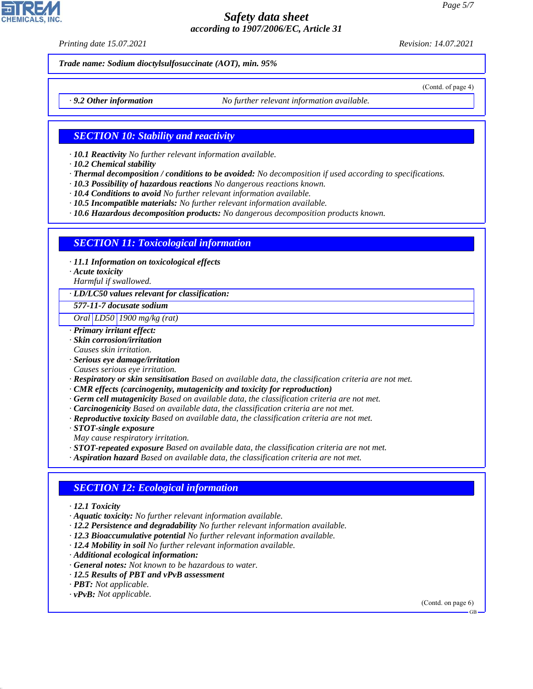*Printing date 15.07.2021 Revision: 14.07.2021*

(Contd. of page 4)

*Trade name: Sodium dioctylsulfosuccinate (AOT), min. 95%*

*· 9.2 Other information No further relevant information available.*

#### *SECTION 10: Stability and reactivity*

- *· 10.1 Reactivity No further relevant information available.*
- *· 10.2 Chemical stability*
- *· Thermal decomposition / conditions to be avoided: No decomposition if used according to specifications.*
- *· 10.3 Possibility of hazardous reactions No dangerous reactions known.*
- *· 10.4 Conditions to avoid No further relevant information available.*
- *· 10.5 Incompatible materials: No further relevant information available.*

*· 10.6 Hazardous decomposition products: No dangerous decomposition products known.*

#### *SECTION 11: Toxicological information*

- *· 11.1 Information on toxicological effects*
- *· Acute toxicity*

*Harmful if swallowed.*

- *· LD/LC50 values relevant for classification:*
- *577-11-7 docusate sodium*

*Oral LD50 1900 mg/kg (rat)*

- *· Primary irritant effect:*
- *· Skin corrosion/irritation*
- *Causes skin irritation.*
- *· Serious eye damage/irritation Causes serious eye irritation.*
- *· Respiratory or skin sensitisation Based on available data, the classification criteria are not met.*
- *· CMR effects (carcinogenity, mutagenicity and toxicity for reproduction)*
- *· Germ cell mutagenicity Based on available data, the classification criteria are not met.*
- *· Carcinogenicity Based on available data, the classification criteria are not met.*
- *· Reproductive toxicity Based on available data, the classification criteria are not met.*
- *· STOT-single exposure*
- *May cause respiratory irritation.*
- *· STOT-repeated exposure Based on available data, the classification criteria are not met.*
- *· Aspiration hazard Based on available data, the classification criteria are not met.*

#### *SECTION 12: Ecological information*

- *· 12.1 Toxicity*
- *· Aquatic toxicity: No further relevant information available.*
- *· 12.2 Persistence and degradability No further relevant information available.*
- *· 12.3 Bioaccumulative potential No further relevant information available.*
- *· 12.4 Mobility in soil No further relevant information available.*
- *· Additional ecological information:*
- *· General notes: Not known to be hazardous to water.*
- *· 12.5 Results of PBT and vPvB assessment*
- *· PBT: Not applicable.*
- *· vPvB: Not applicable.*

44.1.1

(Contd. on page 6)

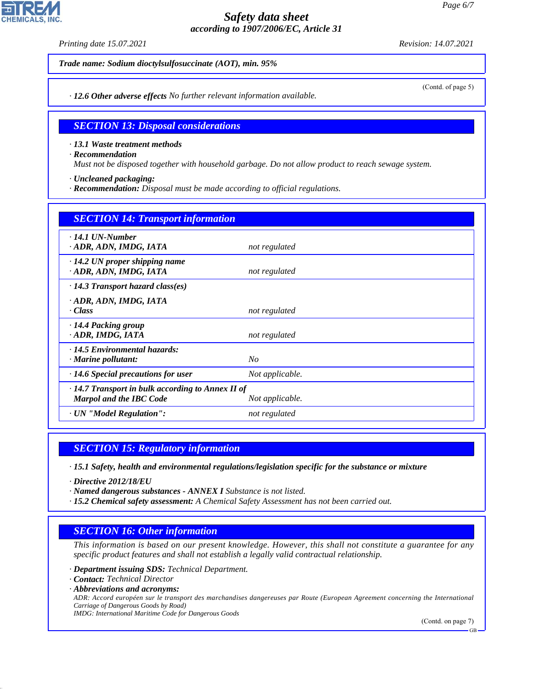*Printing date 15.07.2021 Revision: 14.07.2021*

(Contd. of page 5)

*Trade name: Sodium dioctylsulfosuccinate (AOT), min. 95%*

*· 12.6 Other adverse effects No further relevant information available.*

#### *SECTION 13: Disposal considerations*

*· 13.1 Waste treatment methods*

*· Recommendation*

*Must not be disposed together with household garbage. Do not allow product to reach sewage system.*

*· Uncleaned packaging:*

*· Recommendation: Disposal must be made according to official regulations.*

| <b>SECTION 14: Transport information</b>                                                  |                 |
|-------------------------------------------------------------------------------------------|-----------------|
| $\cdot$ 14.1 UN-Number<br>· ADR, ADN, IMDG, IATA                                          | not regulated   |
| $\cdot$ 14.2 UN proper shipping name<br>· ADR, ADN, IMDG, IATA                            | not regulated   |
| $\cdot$ 14.3 Transport hazard class(es)                                                   |                 |
| · ADR, ADN, IMDG, IATA<br>· Class                                                         | not regulated   |
| $\cdot$ 14.4 Packing group<br>ADR, IMDG, IATA                                             | not regulated   |
| · 14.5 Environmental hazards:<br>$\cdot$ Marine pollutant:                                | $N_{O}$         |
| $\cdot$ 14.6 Special precautions for user                                                 | Not applicable. |
| $\cdot$ 14.7 Transport in bulk according to Annex II of<br><b>Marpol and the IBC Code</b> | Not applicable. |
| · UN "Model Regulation":                                                                  | not regulated   |

## *SECTION 15: Regulatory information*

*· 15.1 Safety, health and environmental regulations/legislation specific for the substance or mixture*

*· Directive 2012/18/EU*

*· Named dangerous substances - ANNEX I Substance is not listed.*

*· 15.2 Chemical safety assessment: A Chemical Safety Assessment has not been carried out.*

#### *SECTION 16: Other information*

*This information is based on our present knowledge. However, this shall not constitute a guarantee for any specific product features and shall not establish a legally valid contractual relationship.*

*· Department issuing SDS: Technical Department.*

*· Contact: Technical Director*

44.1.1

*· Abbreviations and acronyms:*

*ADR: Accord européen sur le transport des marchandises dangereuses par Route (European Agreement concerning the International Carriage of Dangerous Goods by Road) IMDG: International Maritime Code for Dangerous Goods*

(Contd. on page 7)

GB